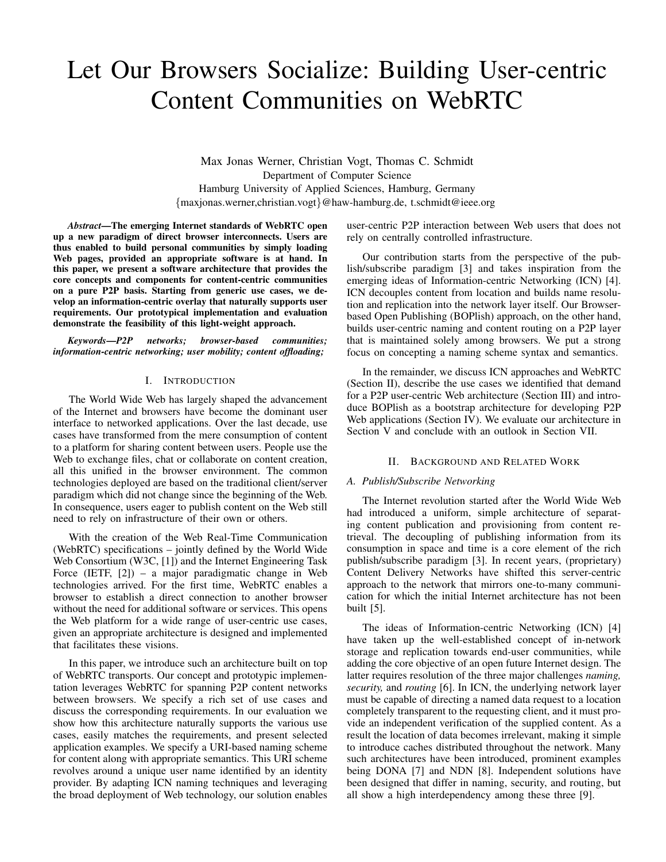# Let Our Browsers Socialize: Building User-centric Content Communities on WebRTC

Max Jonas Werner, Christian Vogt, Thomas C. Schmidt Department of Computer Science Hamburg University of Applied Sciences, Hamburg, Germany {maxjonas.werner,christian.vogt}@haw-hamburg.de, t.schmidt@ieee.org

*Abstract*—The emerging Internet standards of WebRTC open up a new paradigm of direct browser interconnects. Users are thus enabled to build personal communities by simply loading Web pages, provided an appropriate software is at hand. In this paper, we present a software architecture that provides the core concepts and components for content-centric communities on a pure P2P basis. Starting from generic use cases, we develop an information-centric overlay that naturally supports user requirements. Our prototypical implementation and evaluation demonstrate the feasibility of this light-weight approach.

*Keywords*—*P2P networks; browser-based communities; information-centric networking; user mobility; content offloading;*

# I. INTRODUCTION

The World Wide Web has largely shaped the advancement of the Internet and browsers have become the dominant user interface to networked applications. Over the last decade, use cases have transformed from the mere consumption of content to a platform for sharing content between users. People use the Web to exchange files, chat or collaborate on content creation, all this unified in the browser environment. The common technologies deployed are based on the traditional client/server paradigm which did not change since the beginning of the Web. In consequence, users eager to publish content on the Web still need to rely on infrastructure of their own or others.

With the creation of the Web Real-Time Communication (WebRTC) specifications – jointly defined by the World Wide Web Consortium (W3C, [1]) and the Internet Engineering Task Force (IETF, [2]) – a major paradigmatic change in Web technologies arrived. For the first time, WebRTC enables a browser to establish a direct connection to another browser without the need for additional software or services. This opens the Web platform for a wide range of user-centric use cases, given an appropriate architecture is designed and implemented that facilitates these visions.

In this paper, we introduce such an architecture built on top of WebRTC transports. Our concept and prototypic implementation leverages WebRTC for spanning P2P content networks between browsers. We specify a rich set of use cases and discuss the corresponding requirements. In our evaluation we show how this architecture naturally supports the various use cases, easily matches the requirements, and present selected application examples. We specify a URI-based naming scheme for content along with appropriate semantics. This URI scheme revolves around a unique user name identified by an identity provider. By adapting ICN naming techniques and leveraging the broad deployment of Web technology, our solution enables user-centric P2P interaction between Web users that does not rely on centrally controlled infrastructure.

Our contribution starts from the perspective of the publish/subscribe paradigm [3] and takes inspiration from the emerging ideas of Information-centric Networking (ICN) [4]. ICN decouples content from location and builds name resolution and replication into the network layer itself. Our Browserbased Open Publishing (BOPlish) approach, on the other hand, builds user-centric naming and content routing on a P2P layer that is maintained solely among browsers. We put a strong focus on concepting a naming scheme syntax and semantics.

In the remainder, we discuss ICN approaches and WebRTC (Section II), describe the use cases we identified that demand for a P2P user-centric Web architecture (Section III) and introduce BOPlish as a bootstrap architecture for developing P2P Web applications (Section IV). We evaluate our architecture in Section V and conclude with an outlook in Section VII.

## II. BACKGROUND AND RELATED WORK

## *A. Publish/Subscribe Networking*

The Internet revolution started after the World Wide Web had introduced a uniform, simple architecture of separating content publication and provisioning from content retrieval. The decoupling of publishing information from its consumption in space and time is a core element of the rich publish/subscribe paradigm [3]. In recent years, (proprietary) Content Delivery Networks have shifted this server-centric approach to the network that mirrors one-to-many communication for which the initial Internet architecture has not been built [5].

The ideas of Information-centric Networking (ICN) [4] have taken up the well-established concept of in-network storage and replication towards end-user communities, while adding the core objective of an open future Internet design. The latter requires resolution of the three major challenges *naming, security,* and *routing* [6]. In ICN, the underlying network layer must be capable of directing a named data request to a location completely transparent to the requesting client, and it must provide an independent verification of the supplied content. As a result the location of data becomes irrelevant, making it simple to introduce caches distributed throughout the network. Many such architectures have been introduced, prominent examples being DONA [7] and NDN [8]. Independent solutions have been designed that differ in naming, security, and routing, but all show a high interdependency among these three [9].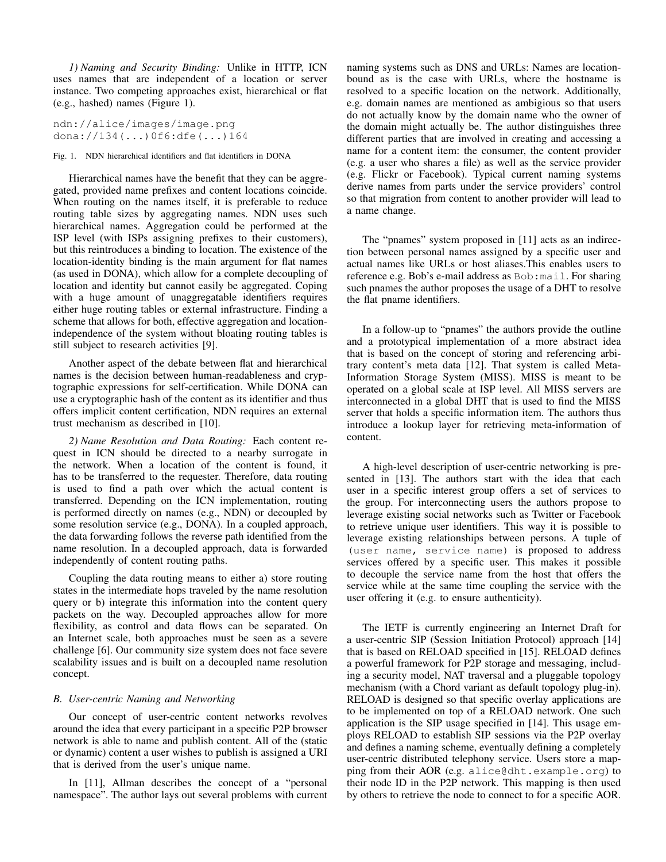*1) Naming and Security Binding:* Unlike in HTTP, ICN uses names that are independent of a location or server instance. Two competing approaches exist, hierarchical or flat (e.g., hashed) names (Figure 1).

ndn://alice/images/image.png dona://134(...)0f6:dfe(...)164

## Fig. 1. NDN hierarchical identifiers and flat identifiers in DONA

Hierarchical names have the benefit that they can be aggregated, provided name prefixes and content locations coincide. When routing on the names itself, it is preferable to reduce routing table sizes by aggregating names. NDN uses such hierarchical names. Aggregation could be performed at the ISP level (with ISPs assigning prefixes to their customers), but this reintroduces a binding to location. The existence of the location-identity binding is the main argument for flat names (as used in DONA), which allow for a complete decoupling of location and identity but cannot easily be aggregated. Coping with a huge amount of unaggregatable identifiers requires either huge routing tables or external infrastructure. Finding a scheme that allows for both, effective aggregation and locationindependence of the system without bloating routing tables is still subject to research activities [9].

Another aspect of the debate between flat and hierarchical names is the decision between human-readableness and cryptographic expressions for self-certification. While DONA can use a cryptographic hash of the content as its identifier and thus offers implicit content certification, NDN requires an external trust mechanism as described in [10].

*2) Name Resolution and Data Routing:* Each content request in ICN should be directed to a nearby surrogate in the network. When a location of the content is found, it has to be transferred to the requester. Therefore, data routing is used to find a path over which the actual content is transferred. Depending on the ICN implementation, routing is performed directly on names (e.g., NDN) or decoupled by some resolution service (e.g., DONA). In a coupled approach, the data forwarding follows the reverse path identified from the name resolution. In a decoupled approach, data is forwarded independently of content routing paths.

Coupling the data routing means to either a) store routing states in the intermediate hops traveled by the name resolution query or b) integrate this information into the content query packets on the way. Decoupled approaches allow for more flexibility, as control and data flows can be separated. On an Internet scale, both approaches must be seen as a severe challenge [6]. Our community size system does not face severe scalability issues and is built on a decoupled name resolution concept.

## *B. User-centric Naming and Networking*

Our concept of user-centric content networks revolves around the idea that every participant in a specific P2P browser network is able to name and publish content. All of the (static or dynamic) content a user wishes to publish is assigned a URI that is derived from the user's unique name.

In [11], Allman describes the concept of a "personal namespace". The author lays out several problems with current naming systems such as DNS and URLs: Names are locationbound as is the case with URLs, where the hostname is resolved to a specific location on the network. Additionally, e.g. domain names are mentioned as ambigious so that users do not actually know by the domain name who the owner of the domain might actually be. The author distinguishes three different parties that are involved in creating and accessing a name for a content item: the consumer, the content provider (e.g. a user who shares a file) as well as the service provider (e.g. Flickr or Facebook). Typical current naming systems derive names from parts under the service providers' control so that migration from content to another provider will lead to a name change.

The "pnames" system proposed in [11] acts as an indirection between personal names assigned by a specific user and actual names like URLs or host aliases.This enables users to reference e.g. Bob's e-mail address as Bob:mail. For sharing such pnames the author proposes the usage of a DHT to resolve the flat pname identifiers.

In a follow-up to "pnames" the authors provide the outline and a prototypical implementation of a more abstract idea that is based on the concept of storing and referencing arbitrary content's meta data [12]. That system is called Meta-Information Storage System (MISS). MISS is meant to be operated on a global scale at ISP level. All MISS servers are interconnected in a global DHT that is used to find the MISS server that holds a specific information item. The authors thus introduce a lookup layer for retrieving meta-information of content.

A high-level description of user-centric networking is presented in [13]. The authors start with the idea that each user in a specific interest group offers a set of services to the group. For interconnecting users the authors propose to leverage existing social networks such as Twitter or Facebook to retrieve unique user identifiers. This way it is possible to leverage existing relationships between persons. A tuple of (user name, service name) is proposed to address services offered by a specific user. This makes it possible to decouple the service name from the host that offers the service while at the same time coupling the service with the user offering it (e.g. to ensure authenticity).

The IETF is currently engineering an Internet Draft for a user-centric SIP (Session Initiation Protocol) approach [14] that is based on RELOAD specified in [15]. RELOAD defines a powerful framework for P2P storage and messaging, including a security model, NAT traversal and a pluggable topology mechanism (with a Chord variant as default topology plug-in). RELOAD is designed so that specific overlay applications are to be implemented on top of a RELOAD network. One such application is the SIP usage specified in [14]. This usage employs RELOAD to establish SIP sessions via the P2P overlay and defines a naming scheme, eventually defining a completely user-centric distributed telephony service. Users store a mapping from their AOR (e.g. alice@dht.example.org) to their node ID in the P2P network. This mapping is then used by others to retrieve the node to connect to for a specific AOR.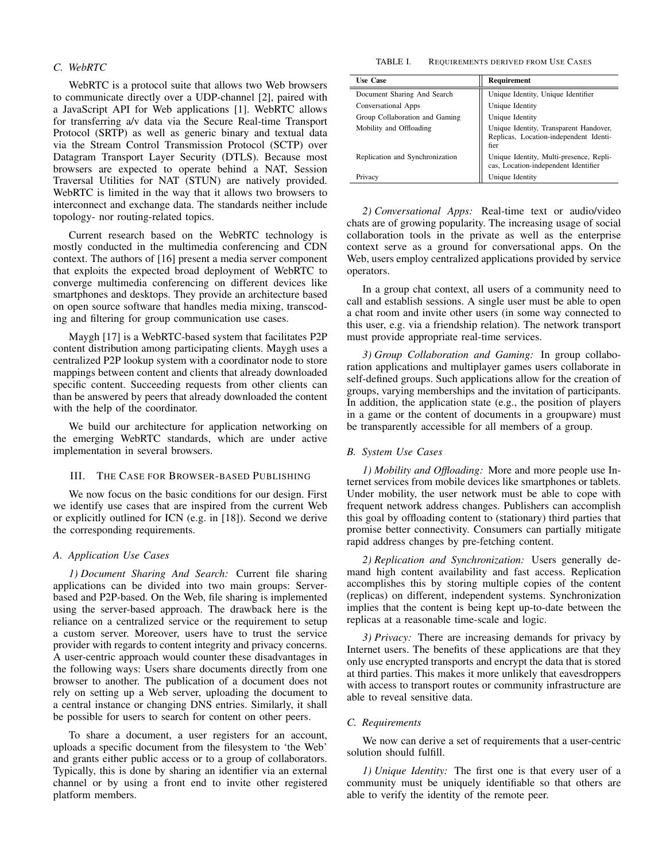# *C. WebRTC*

WebRTC is a protocol suite that allows two Web browsers to communicate directly over a UDP-channel [2], paired with a JavaScript API for Web applications [1]. WebRTC allows for transferring a/v data via the Secure Real-time Transport Protocol (SRTP) as well as generic binary and textual data via the Stream Control Transmission Protocol (SCTP) over Datagram Transport Layer Security (DTLS). Because most browsers are expected to operate behind a NAT, Session Traversal Utilities for NAT (STUN) are natively provided. WebRTC is limited in the way that it allows two browsers to interconnect and exchange data. The standards neither include topology- nor routing-related topics.

Current research based on the WebRTC technology is mostly conducted in the multimedia conferencing and CDN context. The authors of [16] present a media server component that exploits the expected broad deployment of WebRTC to converge multimedia conferencing on different devices like smartphones and desktops. They provide an architecture based on open source software that handles media mixing, transcoding and filtering for group communication use cases.

Maygh [17] is a WebRTC-based system that facilitates P2P content distribution among participating clients. Maygh uses a centralized P2P lookup system with a coordinator node to store mappings between content and clients that already downloaded specific content. Succeeding requests from other clients can than be answered by peers that already downloaded the content with the help of the coordinator.

We build our architecture for application networking on the emerging WebRTC standards, which are under active implementation in several browsers.

#### III. THE CASE FOR BROWSER-BASED PUBLISHING

We now focus on the basic conditions for our design. First we identify use cases that are inspired from the current Web or explicitly outlined for ICN (e.g. in [18]). Second we derive the corresponding requirements.

#### *A. Application Use Cases*

*1) Document Sharing And Search:* Current file sharing applications can be divided into two main groups: Serverbased and P2P-based. On the Web, file sharing is implemented using the server-based approach. The drawback here is the reliance on a centralized service or the requirement to setup a custom server. Moreover, users have to trust the service provider with regards to content integrity and privacy concerns. A user-centric approach would counter these disadvantages in the following ways: Users share documents directly from one browser to another. The publication of a document does not rely on setting up a Web server, uploading the document to a central instance or changing DNS entries. Similarly, it shall be possible for users to search for content on other peers.

To share a document, a user registers for an account, uploads a specific document from the filesystem to 'the Web' and grants either public access or to a group of collaborators. Typically, this is done by sharing an identifier via an external channel or by using a front end to invite other registered platform members.

#### TABLE I. REQUIREMENTS DERIVED FROM USE CASES

| <b>Use Case</b>                 | Requirement                                                                              |
|---------------------------------|------------------------------------------------------------------------------------------|
| Document Sharing And Search     | Unique Identity, Unique Identifier                                                       |
| Conversational Apps             | Unique Identity                                                                          |
| Group Collaboration and Gaming  | Unique Identity                                                                          |
| Mobility and Offloading         | Unique Identity, Transparent Handover,<br>Replicas, Location-independent Identi-<br>fier |
| Replication and Synchronization | Unique Identity, Multi-presence, Repli-<br>cas, Location-independent Identifier          |
| Privacy                         | Unique Identity                                                                          |

*2) Conversational Apps:* Real-time text or audio/video chats are of growing popularity. The increasing usage of social collaboration tools in the private as well as the enterprise context serve as a ground for conversational apps. On the Web, users employ centralized applications provided by service operators.

In a group chat context, all users of a community need to call and establish sessions. A single user must be able to open a chat room and invite other users (in some way connected to this user, e.g. via a friendship relation). The network transport must provide appropriate real-time services.

*3) Group Collaboration and Gaming:* In group collaboration applications and multiplayer games users collaborate in self-defined groups. Such applications allow for the creation of groups, varying memberships and the invitation of participants. In addition, the application state (e.g., the position of players in a game or the content of documents in a groupware) must be transparently accessible for all members of a group.

#### *B. System Use Cases*

*1) Mobility and Offloading:* More and more people use Internet services from mobile devices like smartphones or tablets. Under mobility, the user network must be able to cope with frequent network address changes. Publishers can accomplish this goal by offloading content to (stationary) third parties that promise better connectivity. Consumers can partially mitigate rapid address changes by pre-fetching content.

*2) Replication and Synchronization:* Users generally demand high content availability and fast access. Replication accomplishes this by storing multiple copies of the content (replicas) on different, independent systems. Synchronization implies that the content is being kept up-to-date between the replicas at a reasonable time-scale and logic.

*3) Privacy:* There are increasing demands for privacy by Internet users. The benefits of these applications are that they only use encrypted transports and encrypt the data that is stored at third parties. This makes it more unlikely that eavesdroppers with access to transport routes or community infrastructure are able to reveal sensitive data.

## *C. Requirements*

We now can derive a set of requirements that a user-centric solution should fulfill.

*1) Unique Identity:* The first one is that every user of a community must be uniquely identifiable so that others are able to verify the identity of the remote peer.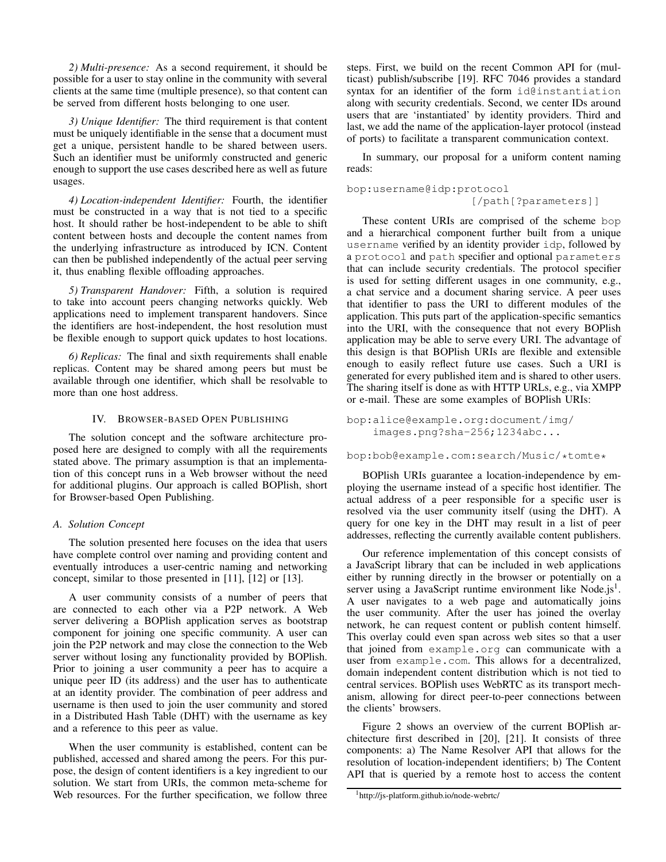*2) Multi-presence:* As a second requirement, it should be possible for a user to stay online in the community with several clients at the same time (multiple presence), so that content can be served from different hosts belonging to one user.

*3) Unique Identifier:* The third requirement is that content must be uniquely identifiable in the sense that a document must get a unique, persistent handle to be shared between users. Such an identifier must be uniformly constructed and generic enough to support the use cases described here as well as future usages.

*4) Location-independent Identifier:* Fourth, the identifier must be constructed in a way that is not tied to a specific host. It should rather be host-independent to be able to shift content between hosts and decouple the content names from the underlying infrastructure as introduced by ICN. Content can then be published independently of the actual peer serving it, thus enabling flexible offloading approaches.

*5) Transparent Handover:* Fifth, a solution is required to take into account peers changing networks quickly. Web applications need to implement transparent handovers. Since the identifiers are host-independent, the host resolution must be flexible enough to support quick updates to host locations.

*6) Replicas:* The final and sixth requirements shall enable replicas. Content may be shared among peers but must be available through one identifier, which shall be resolvable to more than one host address.

## IV. BROWSER-BASED OPEN PUBLISHING

The solution concept and the software architecture proposed here are designed to comply with all the requirements stated above. The primary assumption is that an implementation of this concept runs in a Web browser without the need for additional plugins. Our approach is called BOPlish, short for Browser-based Open Publishing.

## *A. Solution Concept*

The solution presented here focuses on the idea that users have complete control over naming and providing content and eventually introduces a user-centric naming and networking concept, similar to those presented in [11], [12] or [13].

A user community consists of a number of peers that are connected to each other via a P2P network. A Web server delivering a BOPlish application serves as bootstrap component for joining one specific community. A user can join the P2P network and may close the connection to the Web server without losing any functionality provided by BOPlish. Prior to joining a user community a peer has to acquire a unique peer ID (its address) and the user has to authenticate at an identity provider. The combination of peer address and username is then used to join the user community and stored in a Distributed Hash Table (DHT) with the username as key and a reference to this peer as value.

When the user community is established, content can be published, accessed and shared among the peers. For this purpose, the design of content identifiers is a key ingredient to our solution. We start from URIs, the common meta-scheme for Web resources. For the further specification, we follow three

steps. First, we build on the recent Common API for (multicast) publish/subscribe [19]. RFC 7046 provides a standard syntax for an identifier of the form id@instantiation along with security credentials. Second, we center IDs around users that are 'instantiated' by identity providers. Third and last, we add the name of the application-layer protocol (instead of ports) to facilitate a transparent communication context.

In summary, our proposal for a uniform content naming reads:

bop:username@idp:protocol [/path[?parameters]]

These content URIs are comprised of the scheme bop and a hierarchical component further built from a unique username verified by an identity provider idp, followed by a protocol and path specifier and optional parameters that can include security credentials. The protocol specifier is used for setting different usages in one community, e.g., a chat service and a document sharing service. A peer uses that identifier to pass the URI to different modules of the application. This puts part of the application-specific semantics into the URI, with the consequence that not every BOPlish application may be able to serve every URI. The advantage of this design is that BOPlish URIs are flexible and extensible enough to easily reflect future use cases. Such a URI is generated for every published item and is shared to other users. The sharing itself is done as with HTTP URLs, e.g., via XMPP or e-mail. These are some examples of BOPlish URIs:

bop:alice@example.org:document/img/ images.png?sha-256;1234abc...

bop:bob@example.com:search/Music/\*tomte\*

BOPlish URIs guarantee a location-independence by employing the username instead of a specific host identifier. The actual address of a peer responsible for a specific user is resolved via the user community itself (using the DHT). A query for one key in the DHT may result in a list of peer addresses, reflecting the currently available content publishers.

Our reference implementation of this concept consists of a JavaScript library that can be included in web applications either by running directly in the browser or potentially on a server using a JavaScript runtime environment like Node.js<sup>1</sup>. A user navigates to a web page and automatically joins the user community. After the user has joined the overlay network, he can request content or publish content himself. This overlay could even span across web sites so that a user that joined from example.org can communicate with a user from example.com. This allows for a decentralized, domain independent content distribution which is not tied to central services. BOPlish uses WebRTC as its transport mechanism, allowing for direct peer-to-peer connections between the clients' browsers.

Figure 2 shows an overview of the current BOPlish architecture first described in [20], [21]. It consists of three components: a) The Name Resolver API that allows for the resolution of location-independent identifiers; b) The Content API that is queried by a remote host to access the content

<sup>1</sup>http://js-platform.github.io/node-webrtc/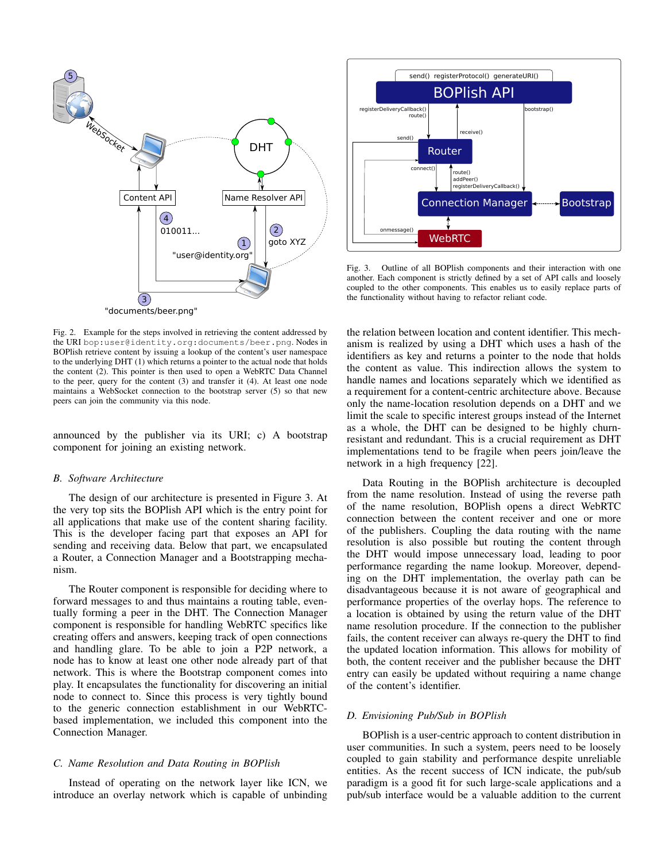

Fig. 2. Example for the steps involved in retrieving the content addressed by the URI bop:user@identity.org:documents/beer.png. Nodes in BOPlish retrieve content by issuing a lookup of the content's user namespace to the underlying DHT (1) which returns a pointer to the actual node that holds the content (2). This pointer is then used to open a WebRTC Data Channel to the peer, query for the content (3) and transfer it (4). At least one node maintains a WebSocket connection to the bootstrap server (5) so that new peers can join the community via this node.

announced by the publisher via its URI; c) A bootstrap component for joining an existing network.

## *B. Software Architecture*

The design of our architecture is presented in Figure 3. At the very top sits the BOPlish API which is the entry point for all applications that make use of the content sharing facility. This is the developer facing part that exposes an API for sending and receiving data. Below that part, we encapsulated a Router, a Connection Manager and a Bootstrapping mechanism.

The Router component is responsible for deciding where to forward messages to and thus maintains a routing table, eventually forming a peer in the DHT. The Connection Manager component is responsible for handling WebRTC specifics like creating offers and answers, keeping track of open connections and handling glare. To be able to join a P2P network, a node has to know at least one other node already part of that network. This is where the Bootstrap component comes into play. It encapsulates the functionality for discovering an initial node to connect to. Since this process is very tightly bound to the generic connection establishment in our WebRTCbased implementation, we included this component into the Connection Manager.

## *C. Name Resolution and Data Routing in BOPlish*

Instead of operating on the network layer like ICN, we introduce an overlay network which is capable of unbinding



Fig. 3. Outline of all BOPlish components and their interaction with one another. Each component is strictly defined by a set of API calls and loosely coupled to the other components. This enables us to easily replace parts of the functionality without having to refactor reliant code.

the relation between location and content identifier. This mechanism is realized by using a DHT which uses a hash of the identifiers as key and returns a pointer to the node that holds the content as value. This indirection allows the system to handle names and locations separately which we identified as a requirement for a content-centric architecture above. Because only the name-location resolution depends on a DHT and we limit the scale to specific interest groups instead of the Internet as a whole, the DHT can be designed to be highly churnresistant and redundant. This is a crucial requirement as DHT implementations tend to be fragile when peers join/leave the network in a high frequency [22].

Data Routing in the BOPlish architecture is decoupled from the name resolution. Instead of using the reverse path of the name resolution, BOPlish opens a direct WebRTC connection between the content receiver and one or more of the publishers. Coupling the data routing with the name resolution is also possible but routing the content through the DHT would impose unnecessary load, leading to poor performance regarding the name lookup. Moreover, depending on the DHT implementation, the overlay path can be disadvantageous because it is not aware of geographical and performance properties of the overlay hops. The reference to a location is obtained by using the return value of the DHT name resolution procedure. If the connection to the publisher fails, the content receiver can always re-query the DHT to find the updated location information. This allows for mobility of both, the content receiver and the publisher because the DHT entry can easily be updated without requiring a name change of the content's identifier.

#### *D. Envisioning Pub/Sub in BOPlish*

BOPlish is a user-centric approach to content distribution in user communities. In such a system, peers need to be loosely coupled to gain stability and performance despite unreliable entities. As the recent success of ICN indicate, the pub/sub paradigm is a good fit for such large-scale applications and a pub/sub interface would be a valuable addition to the current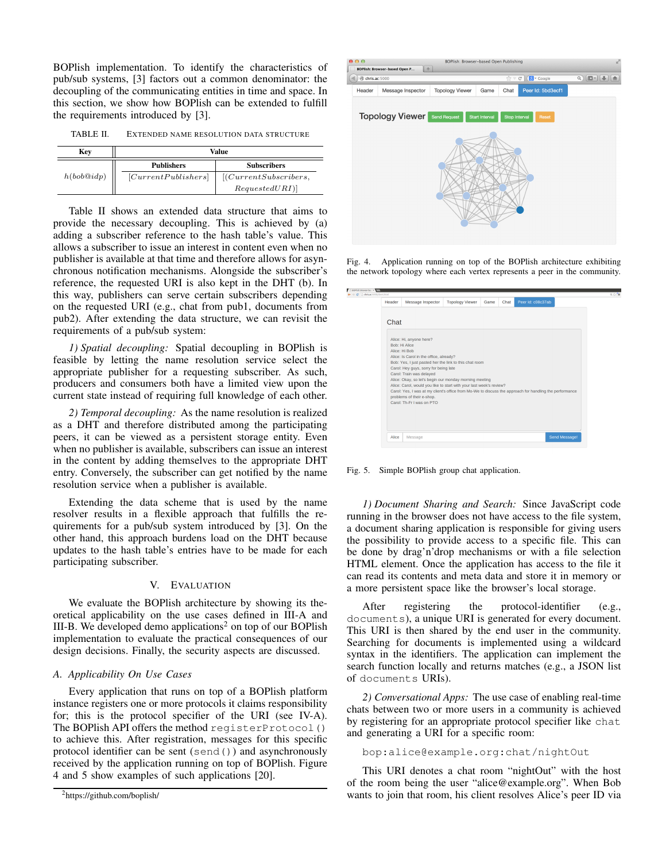BOPlish implementation. To identify the characteristics of pub/sub systems, [3] factors out a common denominator: the decoupling of the communicating entities in time and space. In this section, we show how BOPlish can be extended to fulfill the requirements introduced by [3].

| Key        |                      | Value                  |
|------------|----------------------|------------------------|
|            | <b>Publishers</b>    | <b>Subscribers</b>     |
| h(bob@idp) | [Current Publishers] | [ (Current Subscripts, |
|            |                      | RequestedURI           |

TABLE II. EXTENDED NAME RESOLUTION DATA STRUCTURE

Table II shows an extended data structure that aims to provide the necessary decoupling. This is achieved by (a) adding a subscriber reference to the hash table's value. This allows a subscriber to issue an interest in content even when no publisher is available at that time and therefore allows for asynchronous notification mechanisms. Alongside the subscriber's reference, the requested URI is also kept in the DHT (b). In this way, publishers can serve certain subscribers depending on the requested URI (e.g., chat from pub1, documents from pub2). After extending the data structure, we can revisit the requirements of a pub/sub system:

*1) Spatial decoupling:* Spatial decoupling in BOPlish is feasible by letting the name resolution service select the appropriate publisher for a requesting subscriber. As such, producers and consumers both have a limited view upon the current state instead of requiring full knowledge of each other.

*2) Temporal decoupling:* As the name resolution is realized as a DHT and therefore distributed among the participating peers, it can be viewed as a persistent storage entity. Even when no publisher is available, subscribers can issue an interest in the content by adding themselves to the appropriate DHT entry. Conversely, the subscriber can get notified by the name resolution service when a publisher is available.

Extending the data scheme that is used by the name resolver results in a flexible approach that fulfills the requirements for a pub/sub system introduced by [3]. On the other hand, this approach burdens load on the DHT because updates to the hash table's entries have to be made for each participating subscriber.

## V. EVALUATION

We evaluate the BOPlish architecture by showing its theoretical applicability on the use cases defined in III-A and III-B. We developed demo applications<sup>2</sup> on top of our BOPlish implementation to evaluate the practical consequences of our design decisions. Finally, the security aspects are discussed.

# *A. Applicability On Use Cases*

Every application that runs on top of a BOPlish platform instance registers one or more protocols it claims responsibility for; this is the protocol specifier of the URI (see IV-A). The BOPlish API offers the method registerProtocol() to achieve this. After registration, messages for this specific protocol identifier can be sent (send()) and asynchronously received by the application running on top of BOPlish. Figure 4 and 5 show examples of such applications [20].



Fig. 4. Application running on top of the BOPlish architecture exhibiting the network topology where each vertex represents a peer in the community.

| Alice: Hi, anyone here?<br><b>Bob: Hi Alice</b><br>Alice: Hi Bob<br>Alice: Is Carol in the office, already?<br>Bob: Yes, I just pasted her the link to this chat room<br>Carol: Hey guys, sorry for being late<br>Carol: Train was delayed<br>Alice: Okay, so let's begin our monday morning meeting<br>Alice: Carol, would you like to start with your last week's review?<br>Carol: Yes, I was at my client's office from Mo-We to discuss the approach for handling the performance<br>problems of their e-shop.<br>Carol: Th-Fr I was on PTO | Header | Message Inspector | <b>Topology Viewer</b> | Game | Chat | Peer Id: c08c37ab |
|--------------------------------------------------------------------------------------------------------------------------------------------------------------------------------------------------------------------------------------------------------------------------------------------------------------------------------------------------------------------------------------------------------------------------------------------------------------------------------------------------------------------------------------------------|--------|-------------------|------------------------|------|------|-------------------|
|                                                                                                                                                                                                                                                                                                                                                                                                                                                                                                                                                  | Chat   |                   |                        |      |      |                   |
|                                                                                                                                                                                                                                                                                                                                                                                                                                                                                                                                                  |        |                   |                        |      |      |                   |

Fig. 5. Simple BOPlish group chat application.

*1) Document Sharing and Search:* Since JavaScript code running in the browser does not have access to the file system, a document sharing application is responsible for giving users the possibility to provide access to a specific file. This can be done by drag'n'drop mechanisms or with a file selection HTML element. Once the application has access to the file it can read its contents and meta data and store it in memory or a more persistent space like the browser's local storage.

After registering the protocol-identifier (e.g., documents), a unique URI is generated for every document. This URI is then shared by the end user in the community. Searching for documents is implemented using a wildcard syntax in the identifiers. The application can implement the search function locally and returns matches (e.g., a JSON list of documents URIs).

*2) Conversational Apps:* The use case of enabling real-time chats between two or more users in a community is achieved by registering for an appropriate protocol specifier like chat and generating a URI for a specific room:

bop:alice@example.org:chat/nightOut

This URI denotes a chat room "nightOut" with the host of the room being the user "alice@example.org". When Bob wants to join that room, his client resolves Alice's peer ID via

<sup>2</sup>https://github.com/boplish/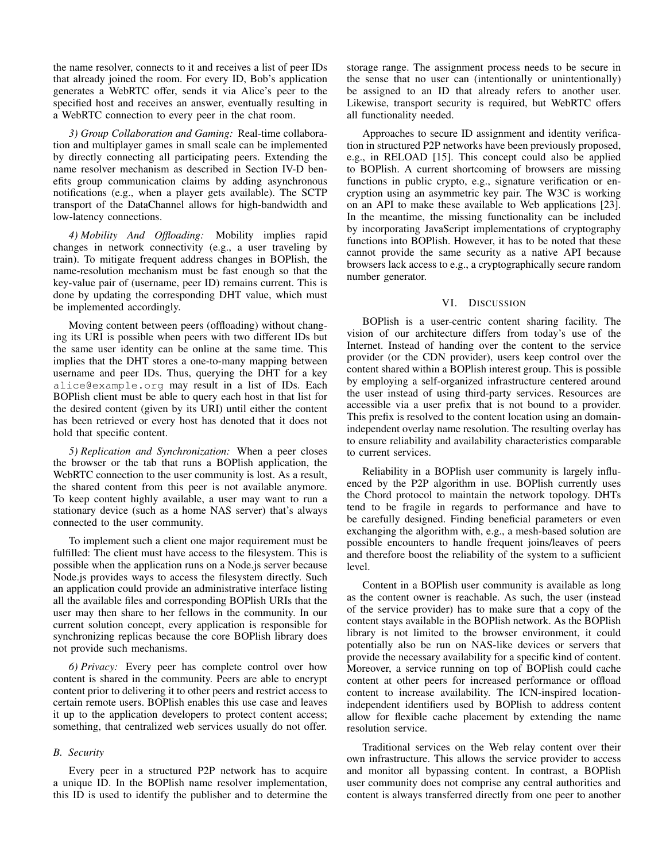the name resolver, connects to it and receives a list of peer IDs that already joined the room. For every ID, Bob's application generates a WebRTC offer, sends it via Alice's peer to the specified host and receives an answer, eventually resulting in a WebRTC connection to every peer in the chat room.

*3) Group Collaboration and Gaming:* Real-time collaboration and multiplayer games in small scale can be implemented by directly connecting all participating peers. Extending the name resolver mechanism as described in Section IV-D benefits group communication claims by adding asynchronous notifications (e.g., when a player gets available). The SCTP transport of the DataChannel allows for high-bandwidth and low-latency connections.

*4) Mobility And Offloading:* Mobility implies rapid changes in network connectivity (e.g., a user traveling by train). To mitigate frequent address changes in BOPlish, the name-resolution mechanism must be fast enough so that the key-value pair of (username, peer ID) remains current. This is done by updating the corresponding DHT value, which must be implemented accordingly.

Moving content between peers (offloading) without changing its URI is possible when peers with two different IDs but the same user identity can be online at the same time. This implies that the DHT stores a one-to-many mapping between username and peer IDs. Thus, querying the DHT for a key alice@example.org may result in a list of IDs. Each BOPlish client must be able to query each host in that list for the desired content (given by its URI) until either the content has been retrieved or every host has denoted that it does not hold that specific content.

*5) Replication and Synchronization:* When a peer closes the browser or the tab that runs a BOPlish application, the WebRTC connection to the user community is lost. As a result, the shared content from this peer is not available anymore. To keep content highly available, a user may want to run a stationary device (such as a home NAS server) that's always connected to the user community.

To implement such a client one major requirement must be fulfilled: The client must have access to the filesystem. This is possible when the application runs on a Node.js server because Node.js provides ways to access the filesystem directly. Such an application could provide an administrative interface listing all the available files and corresponding BOPlish URIs that the user may then share to her fellows in the community. In our current solution concept, every application is responsible for synchronizing replicas because the core BOPlish library does not provide such mechanisms.

*6) Privacy:* Every peer has complete control over how content is shared in the community. Peers are able to encrypt content prior to delivering it to other peers and restrict access to certain remote users. BOPlish enables this use case and leaves it up to the application developers to protect content access; something, that centralized web services usually do not offer.

## *B. Security*

Every peer in a structured P2P network has to acquire a unique ID. In the BOPlish name resolver implementation, this ID is used to identify the publisher and to determine the storage range. The assignment process needs to be secure in the sense that no user can (intentionally or unintentionally) be assigned to an ID that already refers to another user. Likewise, transport security is required, but WebRTC offers all functionality needed.

Approaches to secure ID assignment and identity verification in structured P2P networks have been previously proposed, e.g., in RELOAD [15]. This concept could also be applied to BOPlish. A current shortcoming of browsers are missing functions in public crypto, e.g., signature verification or encryption using an asymmetric key pair. The W3C is working on an API to make these available to Web applications [23]. In the meantime, the missing functionality can be included by incorporating JavaScript implementations of cryptography functions into BOPlish. However, it has to be noted that these cannot provide the same security as a native API because browsers lack access to e.g., a cryptographically secure random number generator.

## VI. DISCUSSION

BOPlish is a user-centric content sharing facility. The vision of our architecture differs from today's use of the Internet. Instead of handing over the content to the service provider (or the CDN provider), users keep control over the content shared within a BOPlish interest group. This is possible by employing a self-organized infrastructure centered around the user instead of using third-party services. Resources are accessible via a user prefix that is not bound to a provider. This prefix is resolved to the content location using an domainindependent overlay name resolution. The resulting overlay has to ensure reliability and availability characteristics comparable to current services.

Reliability in a BOPlish user community is largely influenced by the P2P algorithm in use. BOPlish currently uses the Chord protocol to maintain the network topology. DHTs tend to be fragile in regards to performance and have to be carefully designed. Finding beneficial parameters or even exchanging the algorithm with, e.g., a mesh-based solution are possible encounters to handle frequent joins/leaves of peers and therefore boost the reliability of the system to a sufficient level.

Content in a BOPlish user community is available as long as the content owner is reachable. As such, the user (instead of the service provider) has to make sure that a copy of the content stays available in the BOPlish network. As the BOPlish library is not limited to the browser environment, it could potentially also be run on NAS-like devices or servers that provide the necessary availability for a specific kind of content. Moreover, a service running on top of BOPlish could cache content at other peers for increased performance or offload content to increase availability. The ICN-inspired locationindependent identifiers used by BOPlish to address content allow for flexible cache placement by extending the name resolution service.

Traditional services on the Web relay content over their own infrastructure. This allows the service provider to access and monitor all bypassing content. In contrast, a BOPlish user community does not comprise any central authorities and content is always transferred directly from one peer to another